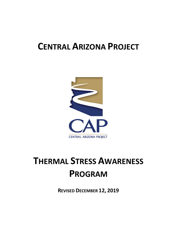# **CENTRAL ARIZONA PROJECT**



# **THERMAL STRESS AWARENESS PROGRAM**

**REVISED DECEMBER 12, 2019**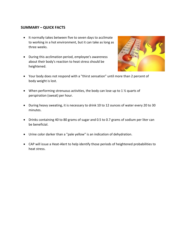### **SUMMARY – QUICK FACTS**

- It normally takes between five to seven days to acclimate to working in a hot environment, but it can take as long as three weeks.
- During this acclimation period, employee's awareness about their body's reaction to heat stress should be heightened.



- Your body does not respond with a "thirst sensation" until more than 2 percent of body weight is lost.
- When performing strenuous activities, the body can lose up to 1  $\frac{1}{2}$  quarts of perspiration (sweat) per hour.
- During heavy sweating, it is necessary to drink 10 to 12 ounces of water every 20 to 30 minutes.
- Drinks containing 40 to 80 grams of sugar and 0.5 to 0.7 grams of sodium per liter can be beneficial.
- Urine color darker than a "pale yellow" is an indication of dehydration.
- CAP will issue a Heat-Alert to help identify those periods of heightened probabilities to heat stress.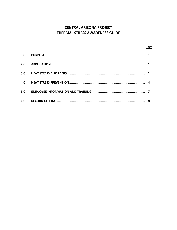## **CENTRAL ARIZONA PROJECT** THERMAL STRESS AWARENESS GUIDE

|     | Page |
|-----|------|
| 1.0 |      |
| 2.0 |      |
| 3.0 |      |
| 4.0 |      |
| 5.0 |      |
| 6.0 | 8    |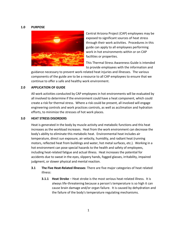#### **1.0 PURPOSE**



Central Arizona Project (CAP) employees may be exposed to significant sources of heat stress through their work activities. Procedures in this guide can apply to all employees performing work in hot environments within or on CAP facilities or properties.

This Thermal Stress Awareness Guide is intended to provide employees with the information and

guidance necessary to prevent work-related heat injuries and illnesses. The various components of the guide are to be a resource to all CAP employees to ensure that we continue to offer a safe and healthy work environment.

#### **2.0 APPLICATION OF GUIDE**

All work activities conducted by CAP employees in hot environments will be evaluated by all involved to determine if the environment could have a heat component, which could create a risk for thermal stress. Where a risk could be present, all involved will engage engineering controls and work practices controls, as well as acclimation and hydration efforts, to minimize the stresses of hot work places.

#### **3.0 HEAT STRESS DISORDERS**

Heat is generated in the body by muscle activity and metabolic functions and this heat increases as the workload increases. Heat from the work environment can decrease the body's ability to eliminate this metabolic heat. Environmental heat includes air temperature, direct sun exposure, air velocity, humidity, and radiant heat (running motors, reflected heat from buildings and water, hot metal surfaces, etc.). Working in a hot environment can pose special hazards to the health and safety of employees, including heat-related fatigue and actual illness. Heat increases the potential for accidents due to sweat in the eyes, slippery hands, fogged glasses, irritability, impaired judgment, or slower physical and mental reaction.

- **3.1 The Five Heat-Related Illnesses**: There are five major categories of heat related illness:
	- **3.1.1 Heat Stroke** Heat stroke is the most serious heat-related illness. It is always life-threatening because a person's temperature is so high it can cause brain damage and/or organ failure. It is caused by dehydration and the failure of the body's temperature regulating mechanisms.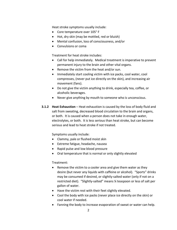Heat stroke symptoms usually include:

- Core temperature over 105° F
- Hot, dry skin (may be mottled, red or bluish)
- Mental confusion, loss of consciousness, and/or
- Convulsions or coma

Treatment for heat stroke includes:

- Call for help immediately. Medical treatment is imperative to prevent permanent injury to the brain and other vital organs.
- Remove the victim from the heat and/or sun.
- Immediately start cooling victim with ice packs, cool water, cool compresses, (never put ice directly on the skin), and increasing air movement (fans).
- Do not give the victim anything to drink, especially tea, coffee, or alcoholic beverages.
- Never give anything by mouth to someone who is unconscious.
- **3.1.2 Heat Exhaustion** Heat exhaustion is caused by the loss of body fluid and salt from sweating, decreased blood circulation to the brain and organs, or both. It is caused when a person does not take in enough water, electrolytes, or both. It is less serious than heat stroke, but can become serious and lead to heat stroke if not treated.

Symptoms usually include:

- Clammy, pale or flushed moist skin
- Extreme fatigue, headache, nausea
- Rapid pulse and low blood pressure
- Oral temperature that is normal or only slightly elevated

#### Treatment:

- Remove the victim to a cooler area and give them water as they desire (but never any liquids with caffeine or alcohol). "Sports" drinks may be consumed if desired, or slightly-salted water (only if not on a restricted diet). "Slightly-salted" means ¼ teaspoon or less of salt per gallon of water.
- Have the victim rest with their feet slightly elevated.
- Cool the body with ice packs (never place ice directly on the skin) or cool water if needed.
- Fanning the body to increase evaporation of sweat or water can help.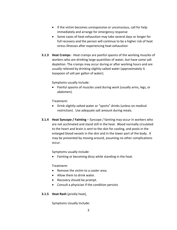- If the victim becomes unresponsive or unconscious, call for help immediately and arrange for emergency response
- Some cases of heat exhaustion may take several days or longer for full recovery and the person will continue to be a higher risk of heat stress illnesses after experiencing heat exhaustion
- **3.1.3 Heat Cramps** Heat cramps are painful spasms of the working muscles of workers who are drinking large quantities of water, but have some salt depletion. The cramps may occur during or after working hours and are usually relieved by drinking slightly-salted water (approximately ¼ teaspoon of salt per gallon of water).

Symptoms usually include:

• Painful spasms of muscles used during work (usually arms, legs, or abdomen).

Treatment:

- Drink slightly-salted water or "sports" drinks (unless on medical restriction). Use adequate salt amount during meals.
- **3.1.4 Heat Syncope / Fainting** Syncope / fainting may occur in workers who are not acclimated and stand still in the heat. Blood normally circulated to the heart and brain is sent to the skin for cooling, and pools in the enlarged blood vessels in the skin and in the lower part of the body. It may be prevented by moving around, assuming no other complications occur.

Symptoms usually include:

• Fainting or becoming dizzy while standing in the heat.

Treatment:

- Remove the victim to a cooler area.
- Allow them to drink water.
- Recovery should be prompt.
- Consult a physician if the condition persists

#### **3.1.5 Heat Rash** (prickly heat),

Symptoms Usually Include: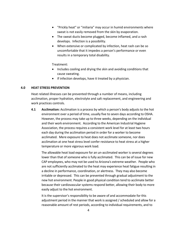- "Prickly heat" or "miliaria" may occur in humid environments where sweat is not easily removed from the skin by evaporation.
- The sweat ducts become plugged, become inflamed, and a rash develops. Infection is a possibility.
- When extensive or complicated by infection, heat rash can be so uncomfortable that it impedes a person's performance or even results in a temporary total disability.

Treatment:

- Includes cooling and drying the skin and avoiding conditions that cause sweating.
- If infection develops, have it treated by a physician.

#### **4.0 HEAT STRESS PREVENTION**

Heat related illnesses can be prevented through a number of means, including acclimation, proper hydration, electrolyte and salt replacement, and engineering and work practices controls.

**4.1 Acclimation:** Acclimation is a process by which a person's body adjusts to the hot environment over a period of time, usually five to seven days according to OSHA. However, the process may take up to three weeks, depending on the individual and their work environment. According to the American Industrial Hygiene Association, the process requires a consistent work level for at least two hours each day during the acclimation period in order for a worker to become acclimated. Mere exposure to heat does not acclimate someone, nor does acclimation at one heat stress level confer resistance to heat stress at a higher temperature or more vigorous work load.

The allowable heat load exposure for an un-acclimated worker is several degrees lower than that of someone who is fully acclimated. This can be of issue for new CAP employees, who may not be used to Arizona's extreme weather. People who are not sufficiently acclimated to the heat may experience heat fatigue resulting in a decline in performance, coordination, or alertness. They may also become irritable or depressed. This can be prevented through gradual adjustment to the new hot environment. People in good physical condition tend to acclimate better because their cardiovascular systems respond better, allowing their body to more easily adjust to the hot environment.

It is the supervisor's responsibility to be aware of and accommodate for this adjustment period in the manner that work is assigned / scheduled and allow for a reasonable amount of rest periods, according to individual requirements, and to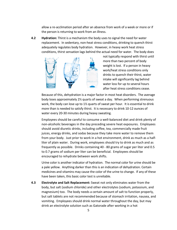allow a re-acclimation period after an absence from work of a week or more or if the person is returning to work from an illness.

**4.2 Hydration:** Thirst is a mechanism the body uses to signal the need for water replacement. In sedentary, non-heat stress conditions, drinking to quench thirst adequately regulates body hydration. However, in heavy work heat stress conditions, thirst sensation lags behind the actual need for water. The body does



not typically respond with thirst until more than two percent of body weight is lost. If a person in heavy work/heat stress conditions only drinks to quench their thirst, water intake will significantly lag behind water loss for up to several hours after heat stress conditions cease.

Because of this, dehydration is a major factor in most heat disorders. The average body loses approximately 2½ quarts of sweat a day. When performing strenuous work, the body can lose up to 1½ quarts of sweat per hour. It is essential to drink more than is needed to satisfy thirst. It is necessary to drink 10-12 ounces of water every 20-30 minutes during heavy sweating.

Employees should be careful to consume a well-balanced diet and drink plenty of non-alcoholic beverages in the day preceding severe heat exposures. Employees should avoid diuretic drinks, including coffee, tea, commercially made fruit juices, energy drinks, and sodas because they take more water to remove them from your body. Just prior to work in a hot environment, drink as much as a halfliter of plain water. During work, employees should try to drink as much and as frequently as possible. Drinks containing 40 - 80 grams of sugar per liter and 0.5 to 0.7 grams of sodium per liter can be beneficial. Employees should be encouraged to rehydrate between work shifts.

Urine color is another indicator of hydration. The normal color for urine should be a pale yellow. Anything darker than this is an indication of dehydration. Certain medicines and vitamins may cause the color of the urine to change. If any of these have been taken, this basic color test is unreliable.

**4.3 Electrolyte and Salt Replacement:** Sweat not only eliminates water from the body, but salt (sodium chloride) and other electrolytes (sodium, potassium, and magnesium) too. The body needs a certain amount of salt to function properly, but salt tablets are not recommended because of stomach irritation, nausea, and vomiting. Employees should drink normal water throughout the day, but may drink an electrolyte solution such as Gatorade after working in a hot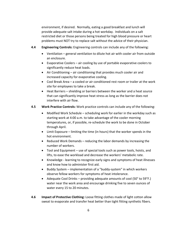environment, if desired. Normally, eating a good breakfast and lunch will provide adequate salt intake during a hot workday. Individuals on a salt restricted diet or those persons being treated for high blood pressure or heart problems must NOT try to replace salt without the advice of their physician.

- **4.4 Engineering Controls:** Engineering controls can include any of the following:
	- Ventilation general ventilation to dilute hot air with cooler air from outside an enclosure.
	- Evaporative Coolers air cooling by use of portable evaporative coolers to significantly reduce heat loads.
	- Air Conditioning air conditioning that provides much cooler air and increased capacity for evaporative cooling.
	- Cool Break Area a cooled or air conditioned rest room or trailer at the work site for employees to take a break.
	- Heat Barriers shielding or barriers between the worker and a heat source that can significantly improve heat stress as long as the barrier does not interfere with air flow.

#### **4.5 Work Practice Controls:** Work practice controls can include any of the following:

- Modified Work Schedule scheduling work for earlier in the workday such as starting work at 4:00 a.m. to take advantage of the cooler morning temperatures, or, if possible, re-schedule the work to be done in October through April.
- Limit Exposure limiting the time (in hours) that the worker spends in the hot environment.
- Reduced Work Demands reducing the labor demands by increasing the number of workers.
- Tool and Equipment use of special tools such as power tools, hoists, and lifts, to ease the workload and decrease the workers' metabolic rate.
- Knowledge learning to recognize early signs and symptoms of heat illnesses and know how to administer first aid.
- Buddy System implementation of a "buddy-system" in which workers observe fellow workers for symptoms of heat intolerance.
- Adequate Cool Drinks providing adequate amounts of cool (50° to 59°F.) water near the work area and encourage drinking five to seven ounces of water every 15 to 20 minutes.
- **4.6 Impact of Protective Clothing:** Loose fitting clothes made of light cotton allow sweat to evaporate and transfer heat better than tight fitting synthetic fibers.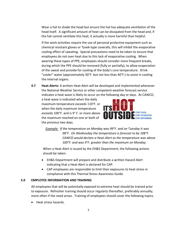Wear a hat to shade the head but ensure the hat has adequate ventilation of the head itself. A significant amount of heat can be dissipated from the head and, if the hat cannot ventilate this heat, it actually is more harmful than helpful.

If the work activities require the use of personal protective equipment such as chemical resistant gloves or Tyvek-type coveralls, this will inhibit the evaporative cooling effect of sweating. Special precautions need to be taken to ensure that employees do not over-heat due to this lack of evaporative cooling. When wearing these types of PPE, employees should consider more frequent breaks, during which the PPE should be removed (fully or partially), to allow evaporation of the sweat and provide for cooling of the body's core temperature. Drink "cooler" water (approximately 50°F. but not less than 40°F.) to assist in cooling the internal organs.

**4.7 Heat-Alerts:** A written Heat-Alert will be developed and implemented whenever the National Weather Service or other competent weather forecast service indicates a heat wave is likely to occur on the following day or days. At CAWCD,

a heat wave is indicated when the daily maximum temperature exceeds 110°F. or when the daily maximum temperature exceeds 100°F. and is 9° F. or more above the maximum reached on one or both of the previous two days.



*Example: If the temperature on Monday was 99°F. and on Tuesday it was 98°F. On Wednesday the temperature is forecast to be 108°F. CAWCD would declare a Heat-Alert as the temperature was above 100°F. and was 9°F. greater than the maximum on Monday.*

When a Heat-Alert is issued by the EH&S Department, the following actions should be taken:

- EH&S Department will prepare and distribute a written Hazard Alert indicating that a Heat-Alert is declared for CAP.
- CAP employees are responsible to limit their exposures to heat stress in compliance with this Thermal Stress Awareness Guide.

#### **5.0 EMPLOYEE INFORMATION AND TRAINING**

All employees that will be potentially exposed to extreme heat should be trained prior to exposure. Refresher training should occur regularly thereafter, preferably annually; more often if the need arises. Training of employees should cover the following topics:

• Heat stress hazards.